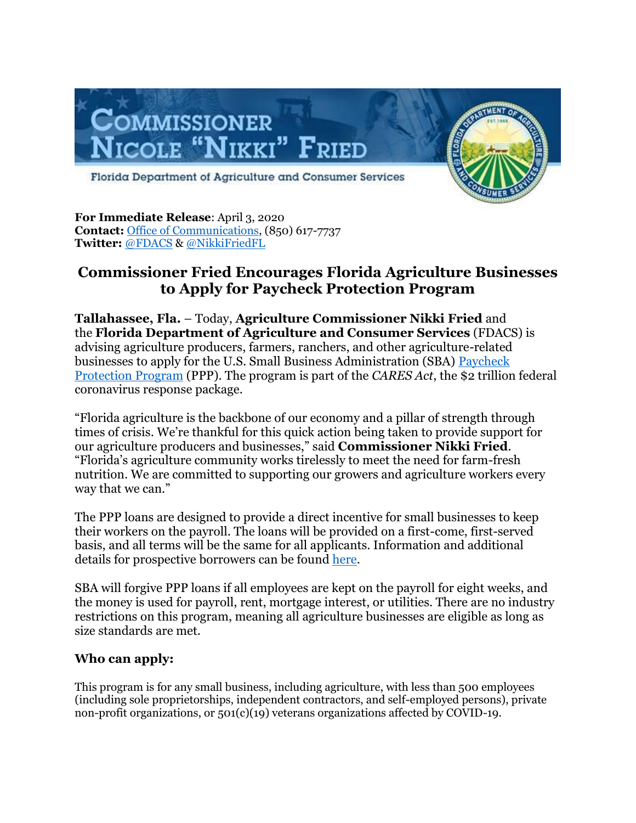

**For Immediate Release**: April 3, 2020 **Contact:** [Office of Communications,](mailto:comms@freshfromflorida.com) (850) 617-7737 **Twitter:** [@FDACS](https://urldefense.proofpoint.com/v2/url?u=https-3A__www.twitter.com_fdacs&d=DwMFAg&c=sJ6xIWYx-zLMB3EPkvcnVg&r=6x5Bsf6VN00E93LzHNiF40sfxEaUy-U89eDkpF1CmOs&m=it_9nwCb8HSNPj_UoxWIa62NCbcDZfNv13vqvhQhZvg&s=1uhz8LHrKzHdqDensxQ6RNASsnMKpPkGPEDzeg255B8&e=) & [@NikkiFriedFL](https://urldefense.proofpoint.com/v2/url?u=https-3A__www.twitter.com_nikkifriedfl&d=DwMFAg&c=sJ6xIWYx-zLMB3EPkvcnVg&r=6x5Bsf6VN00E93LzHNiF40sfxEaUy-U89eDkpF1CmOs&m=it_9nwCb8HSNPj_UoxWIa62NCbcDZfNv13vqvhQhZvg&s=JLf5iBCEMerxetRx6Vg1B7pfR1FGofBJ-nfbXO4MpLo&e=) 

## **Commissioner Fried Encourages Florida Agriculture Businesses to Apply for Paycheck Protection Program**

**Tallahassee, Fla.** – Today, **Agriculture Commissioner Nikki Fried** and the **Florida Department of Agriculture and Consumer Services** (FDACS) is advising agriculture producers, farmers, ranchers, and other agriculture-related businesses to apply for the U.S. Small Business Administration (SBA) [Paycheck](https://urldefense.proofpoint.com/v2/url?u=https-3A__www.sba.gov_funding-2Dprograms_loans_coronavirus-2Drelief-2Doptions_paycheck-2Dprotection-2Dprogram-2Dppp&d=DwMFAg&c=sJ6xIWYx-zLMB3EPkvcnVg&r=6x5Bsf6VN00E93LzHNiF40sfxEaUy-U89eDkpF1CmOs&m=it_9nwCb8HSNPj_UoxWIa62NCbcDZfNv13vqvhQhZvg&s=FjjPQy3OxacX13VbXyr1scyRnnb8YTMIeH2Pd9jGgYg&e=)  [Protection Program](https://urldefense.proofpoint.com/v2/url?u=https-3A__www.sba.gov_funding-2Dprograms_loans_coronavirus-2Drelief-2Doptions_paycheck-2Dprotection-2Dprogram-2Dppp&d=DwMFAg&c=sJ6xIWYx-zLMB3EPkvcnVg&r=6x5Bsf6VN00E93LzHNiF40sfxEaUy-U89eDkpF1CmOs&m=it_9nwCb8HSNPj_UoxWIa62NCbcDZfNv13vqvhQhZvg&s=FjjPQy3OxacX13VbXyr1scyRnnb8YTMIeH2Pd9jGgYg&e=) (PPP). The program is part of the *CARES Act*, the \$2 trillion federal coronavirus response package.

"Florida agriculture is the backbone of our economy and a pillar of strength through times of crisis. We're thankful for this quick action being taken to provide support for our agriculture producers and businesses," said **Commissioner Nikki Fried**. "Florida's agriculture community works tirelessly to meet the need for farm-fresh nutrition. We are committed to supporting our growers and agriculture workers every way that we can."

The PPP loans are designed to provide a direct incentive for small businesses to keep their workers on the payroll. The loans will be provided on a first-come, first-served basis, and all terms will be the same for all applicants. Information and additional details for prospective borrowers can be found [here.](https://urldefense.proofpoint.com/v2/url?u=https-3A__home.treasury.gov_system_files_136_PPP-2D-2DFact-2DSheet.pdf&d=DwMFAg&c=sJ6xIWYx-zLMB3EPkvcnVg&r=6x5Bsf6VN00E93LzHNiF40sfxEaUy-U89eDkpF1CmOs&m=it_9nwCb8HSNPj_UoxWIa62NCbcDZfNv13vqvhQhZvg&s=zbXNmqRTYkyt9saYvkUdsIhRFi-dhXy5ZAQ234KDXMU&e=)

SBA will forgive PPP loans if all employees are kept on the payroll for eight weeks, and the money is used for payroll, rent, mortgage interest, or utilities. There are no industry restrictions on this program, meaning all agriculture businesses are eligible as long as size standards are met.

## **Who can apply:**

This program is for any small business, including agriculture, with less than 500 employees (including sole proprietorships, independent contractors, and self-employed persons), private non-profit organizations, or 501(c)(19) veterans organizations affected by COVID-19.